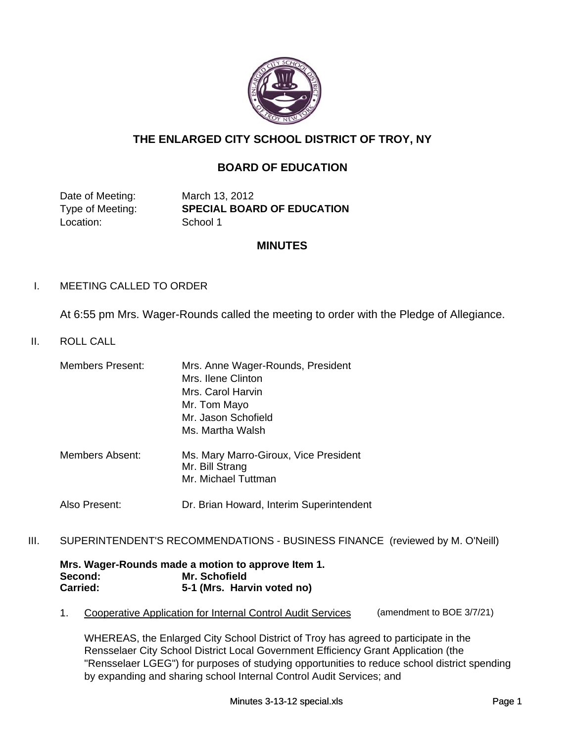

# **THE ENLARGED CITY SCHOOL DISTRICT OF TROY, NY**

# **BOARD OF EDUCATION**

Date of Meeting: March 13, 2012 Location: School 1

Type of Meeting: **SPECIAL BOARD OF EDUCATION**

## **MINUTES**

## I. MEETING CALLED TO ORDER

At 6:55 pm Mrs. Wager-Rounds called the meeting to order with the Pledge of Allegiance.

## II. ROLL CALL

| <b>Members Present:</b> | Mrs. Anne Wager-Rounds, President<br>Mrs. Ilene Clinton                         |
|-------------------------|---------------------------------------------------------------------------------|
|                         |                                                                                 |
|                         | Mrs. Carol Harvin                                                               |
|                         | Mr. Tom Mayo                                                                    |
|                         | Mr. Jason Schofield                                                             |
|                         | Ms. Martha Walsh                                                                |
| Members Absent:         | Ms. Mary Marro-Giroux, Vice President<br>Mr. Bill Strang<br>Mr. Michael Tuttman |

- Also Present: Dr. Brian Howard, Interim Superintendent
- III. SUPERINTENDENT'S RECOMMENDATIONS BUSINESS FINANCE (reviewed by M. O'Neill)

#### **Mrs. Wager-Rounds made a motion to approve Item 1. Second: Mr. Schofield Carried: 5-1 (Mrs. Harvin voted no)**

1. Cooperative Application for Internal Control Audit Services (amendment to BOE 3/7/21)

WHEREAS, the Enlarged City School District of Troy has agreed to participate in the Rensselaer City School District Local Government Efficiency Grant Application (the "Rensselaer LGEG") for purposes of studying opportunities to reduce school district spending by expanding and sharing school Internal Control Audit Services; and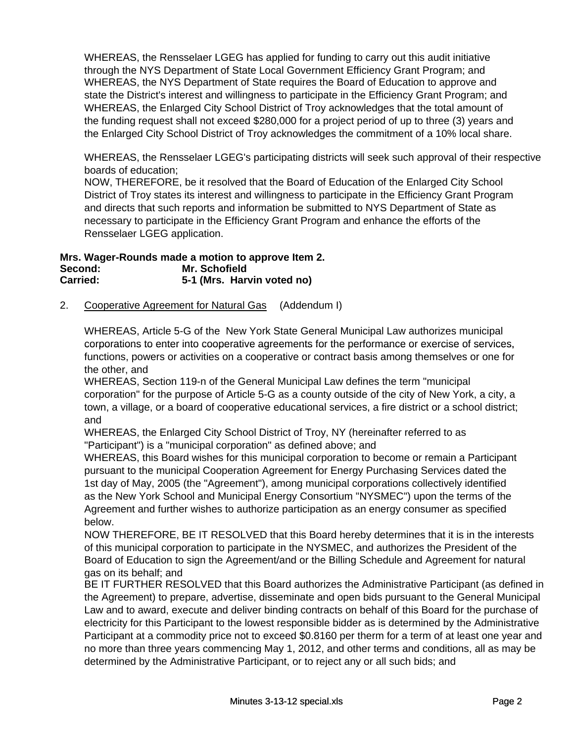WHEREAS, the Rensselaer LGEG has applied for funding to carry out this audit initiative through the NYS Department of State Local Government Efficiency Grant Program; and WHEREAS, the NYS Department of State requires the Board of Education to approve and state the District's interest and willingness to participate in the Efficiency Grant Program; and WHEREAS, the Enlarged City School District of Troy acknowledges that the total amount of the funding request shall not exceed \$280,000 for a project period of up to three (3) years and the Enlarged City School District of Troy acknowledges the commitment of a 10% local share.

WHEREAS, the Rensselaer LGEG's participating districts will seek such approval of their respective boards of education;

NOW, THEREFORE, be it resolved that the Board of Education of the Enlarged City School District of Troy states its interest and willingness to participate in the Efficiency Grant Program and directs that such reports and information be submitted to NYS Department of State as necessary to participate in the Efficiency Grant Program and enhance the efforts of the Rensselaer LGEG application.

**Mrs. Wager-Rounds made a motion to approve Item 2. Second: Mr. Schofield Carried: 5-1 (Mrs. Harvin voted no)**

2. Cooperative Agreement for Natural Gas (Addendum I)

WHEREAS, Article 5-G of the New York State General Municipal Law authorizes municipal corporations to enter into cooperative agreements for the performance or exercise of services, functions, powers or activities on a cooperative or contract basis among themselves or one for the other, and

WHEREAS, Section 119-n of the General Municipal Law defines the term "municipal corporation" for the purpose of Article 5-G as a county outside of the city of New York, a city, a town, a village, or a board of cooperative educational services, a fire district or a school district; and

WHEREAS, the Enlarged City School District of Troy, NY (hereinafter referred to as "Participant") is a "municipal corporation" as defined above; and

WHEREAS, this Board wishes for this municipal corporation to become or remain a Participant pursuant to the municipal Cooperation Agreement for Energy Purchasing Services dated the 1st day of May, 2005 (the "Agreement"), among municipal corporations collectively identified as the New York School and Municipal Energy Consortium "NYSMEC") upon the terms of the Agreement and further wishes to authorize participation as an energy consumer as specified below.

NOW THEREFORE, BE IT RESOLVED that this Board hereby determines that it is in the interests of this municipal corporation to participate in the NYSMEC, and authorizes the President of the Board of Education to sign the Agreement/and or the Billing Schedule and Agreement for natural gas on its behalf; and

BE IT FURTHER RESOLVED that this Board authorizes the Administrative Participant (as defined in the Agreement) to prepare, advertise, disseminate and open bids pursuant to the General Municipal Law and to award, execute and deliver binding contracts on behalf of this Board for the purchase of electricity for this Participant to the lowest responsible bidder as is determined by the Administrative Participant at a commodity price not to exceed \$0.8160 per therm for a term of at least one year and no more than three years commencing May 1, 2012, and other terms and conditions, all as may be determined by the Administrative Participant, or to reject any or all such bids; and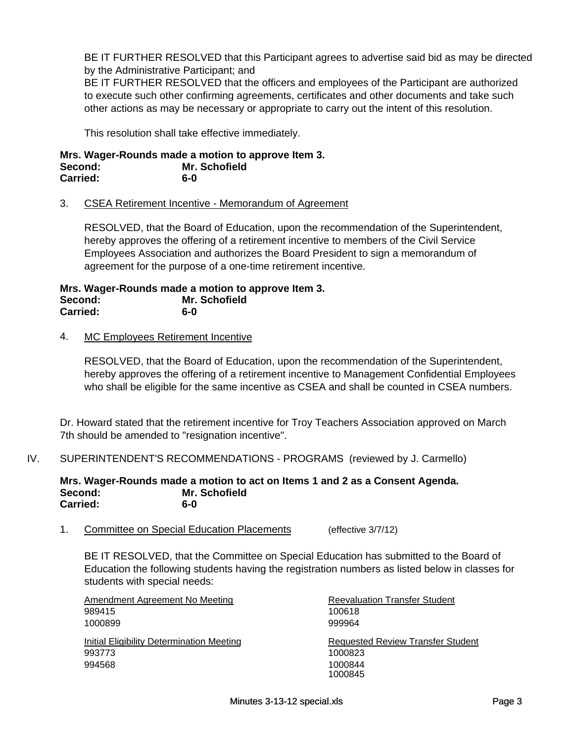BE IT FURTHER RESOLVED that this Participant agrees to advertise said bid as may be directed by the Administrative Participant; and

BE IT FURTHER RESOLVED that the officers and employees of the Participant are authorized to execute such other confirming agreements, certificates and other documents and take such other actions as may be necessary or appropriate to carry out the intent of this resolution.

This resolution shall take effective immediately.

**Mrs. Wager-Rounds made a motion to approve Item 3. Second: Mr. Schofield Carried: 6-0**

### 3. CSEA Retirement Incentive - Memorandum of Agreement

RESOLVED, that the Board of Education, upon the recommendation of the Superintendent, hereby approves the offering of a retirement incentive to members of the Civil Service Employees Association and authorizes the Board President to sign a memorandum of agreement for the purpose of a one-time retirement incentive.

**Mrs. Wager-Rounds made a motion to approve Item 3. Second: Mr. Schofield Carried: 6-0**

### 4. MC Employees Retirement Incentive

RESOLVED, that the Board of Education, upon the recommendation of the Superintendent, hereby approves the offering of a retirement incentive to Management Confidential Employees who shall be eligible for the same incentive as CSEA and shall be counted in CSEA numbers.

Dr. Howard stated that the retirement incentive for Troy Teachers Association approved on March 7th should be amended to "resignation incentive".

IV. SUPERINTENDENT'S RECOMMENDATIONS - PROGRAMS (reviewed by J. Carmello)

**Mrs. Wager-Rounds made a motion to act on Items 1 and 2 as a Consent Agenda. Second: Mr. Schofield Carried: 6-0**

1. Committee on Special Education Placements (effective 3/7/12)

BE IT RESOLVED, that the Committee on Special Education has submitted to the Board of Education the following students having the registration numbers as listed below in classes for students with special needs:

| Amendment Agreement No Meeting            | <b>Reevaluation Transfer Student</b>     |
|-------------------------------------------|------------------------------------------|
| 989415                                    | 100618                                   |
| 1000899                                   | 999964                                   |
| Initial Eligibility Determination Meeting | <b>Requested Review Transfer Student</b> |
| 993773                                    | 1000823                                  |
| 994568                                    | 1000844<br>1000845                       |